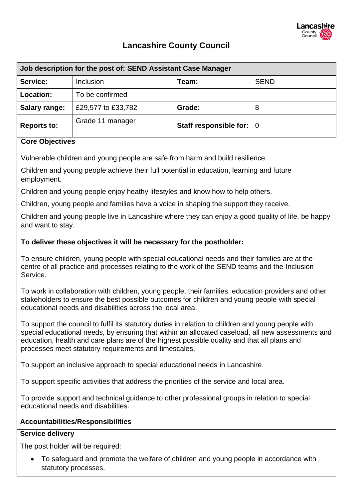

## **Lancashire County Council**

| Job description for the post of: SEND Assistant Case Manager |                    |                          |             |  |  |
|--------------------------------------------------------------|--------------------|--------------------------|-------------|--|--|
| Service:                                                     | Inclusion          | Team:                    | <b>SEND</b> |  |  |
| Location:                                                    | To be confirmed    |                          |             |  |  |
| Salary range:                                                | £29,577 to £33,782 | Grade:                   | 8           |  |  |
| <b>Reports to:</b>                                           | Grade 11 manager   | Staff responsible for: 0 |             |  |  |

#### **Core Objectives**

Vulnerable children and young people are safe from harm and build resilience.

Children and young people achieve their full potential in education, learning and future employment.

Children and young people enjoy heathy lifestyles and know how to help others.

Children, young people and families have a voice in shaping the support they receive.

Children and young people live in Lancashire where they can enjoy a good quality of life, be happy and want to stay.

#### **To deliver these objectives it will be necessary for the postholder:**

To ensure children, young people with special educational needs and their families are at the centre of all practice and processes relating to the work of the SEND teams and the Inclusion Service.

To work in collaboration with children, young people, their families, education providers and other stakeholders to ensure the best possible outcomes for children and young people with special educational needs and disabilities across the local area.

To support the council to fulfil its statutory duties in relation to children and young people with special educational needs, by ensuring that within an allocated caseload, all new assessments and education, health and care plans are of the highest possible quality and that all plans and processes meet statutory requirements and timescales.

To support an inclusive approach to special educational needs in Lancashire.

To support specific activities that address the priorities of the service and local area.

To provide support and technical guidance to other professional groups in relation to special educational needs and disabilities.

#### **Accountabilities/Responsibilities**

#### **Service delivery**

The post holder will be required:

• To safeguard and promote the welfare of children and young people in accordance with statutory processes.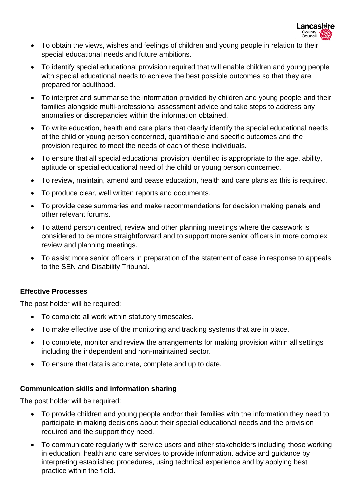- To obtain the views, wishes and feelings of children and young people in relation to their special educational needs and future ambitions.
- To identify special educational provision required that will enable children and young people with special educational needs to achieve the best possible outcomes so that they are prepared for adulthood.
- To interpret and summarise the information provided by children and young people and their families alongside multi-professional assessment advice and take steps to address any anomalies or discrepancies within the information obtained.
- To write education, health and care plans that clearly identify the special educational needs of the child or young person concerned, quantifiable and specific outcomes and the provision required to meet the needs of each of these individuals.
- To ensure that all special educational provision identified is appropriate to the age, ability, aptitude or special educational need of the child or young person concerned.
- To review, maintain, amend and cease education, health and care plans as this is required.
- To produce clear, well written reports and documents.
- To provide case summaries and make recommendations for decision making panels and other relevant forums.
- To attend person centred, review and other planning meetings where the casework is considered to be more straightforward and to support more senior officers in more complex review and planning meetings.
- To assist more senior officers in preparation of the statement of case in response to appeals to the SEN and Disability Tribunal.

#### **Effective Processes**

The post holder will be required:

- To complete all work within statutory timescales.
- To make effective use of the monitoring and tracking systems that are in place.
- To complete, monitor and review the arrangements for making provision within all settings including the independent and non-maintained sector.
- To ensure that data is accurate, complete and up to date.

### **Communication skills and information sharing**

The post holder will be required:

- To provide children and young people and/or their families with the information they need to participate in making decisions about their special educational needs and the provision required and the support they need.
- To communicate regularly with service users and other stakeholders including those working in education, health and care services to provide information, advice and guidance by interpreting established procedures, using technical experience and by applying best practice within the field.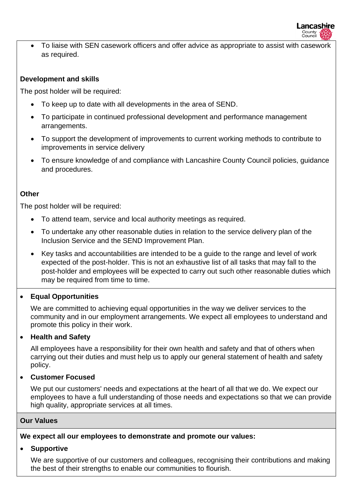

• To liaise with SEN casework officers and offer advice as appropriate to assist with casework as required.

#### **Development and skills**

The post holder will be required:

- To keep up to date with all developments in the area of SEND.
- To participate in continued professional development and performance management arrangements.
- To support the development of improvements to current working methods to contribute to improvements in service delivery
- To ensure knowledge of and compliance with Lancashire County Council policies, guidance and procedures.

#### **Other**

The post holder will be required:

- To attend team, service and local authority meetings as required.
- To undertake any other reasonable duties in relation to the service delivery plan of the Inclusion Service and the SEND Improvement Plan.
- Key tasks and accountabilities are intended to be a guide to the range and level of work expected of the post-holder. This is not an exhaustive list of all tasks that may fall to the post-holder and employees will be expected to carry out such other reasonable duties which may be required from time to time.

#### • **Equal Opportunities**

We are committed to achieving equal opportunities in the way we deliver services to the community and in our employment arrangements. We expect all employees to understand and promote this policy in their work.

#### • **Health and Safety**

All employees have a responsibility for their own health and safety and that of others when carrying out their duties and must help us to apply our general statement of health and safety policy.

#### • **Customer Focused**

We put our customers' needs and expectations at the heart of all that we do. We expect our employees to have a full understanding of those needs and expectations so that we can provide high quality, appropriate services at all times.

#### **Our Values**

**We expect all our employees to demonstrate and promote our values:**

#### • **Supportive**

We are supportive of our customers and colleagues, recognising their contributions and making the best of their strengths to enable our communities to flourish.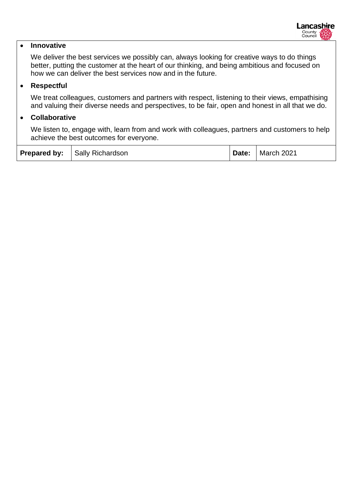#### • **Innovative**

We deliver the best services we possibly can, always looking for creative ways to do things better, putting the customer at the heart of our thinking, and being ambitious and focused on how we can deliver the best services now and in the future.

#### • **Respectful**

We treat colleagues, customers and partners with respect, listening to their views, empathising and valuing their diverse needs and perspectives, to be fair, open and honest in all that we do.

#### • **Collaborative**

We listen to, engage with, learn from and work with colleagues, partners and customers to help achieve the best outcomes for everyone.

|  | <b>Prepared by:</b> Sally Richardson |  | Date:   March 2021 |
|--|--------------------------------------|--|--------------------|
|--|--------------------------------------|--|--------------------|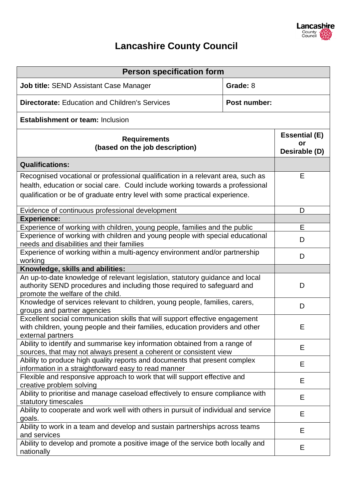

# **Lancashire County Council**

| <b>Person specification form</b>                                                                                                                                                                                                                 |                                             |   |  |  |
|--------------------------------------------------------------------------------------------------------------------------------------------------------------------------------------------------------------------------------------------------|---------------------------------------------|---|--|--|
| Grade: 8<br><b>Job title: SEND Assistant Case Manager</b>                                                                                                                                                                                        |                                             |   |  |  |
| <b>Directorate: Education and Children's Services</b>                                                                                                                                                                                            |                                             |   |  |  |
| <b>Establishment or team: Inclusion</b>                                                                                                                                                                                                          |                                             |   |  |  |
| <b>Requirements</b><br>(based on the job description)                                                                                                                                                                                            | <b>Essential (E)</b><br>or<br>Desirable (D) |   |  |  |
| <b>Qualifications:</b>                                                                                                                                                                                                                           |                                             |   |  |  |
| Recognised vocational or professional qualification in a relevant area, such as<br>health, education or social care. Could include working towards a professional<br>qualification or be of graduate entry level with some practical experience. |                                             | Е |  |  |
| Evidence of continuous professional development                                                                                                                                                                                                  | D                                           |   |  |  |
| <b>Experience:</b><br>Experience of working with children, young people, families and the public                                                                                                                                                 |                                             | Е |  |  |
| Experience of working with children and young people with special educational<br>needs and disabilities and their families                                                                                                                       | D                                           |   |  |  |
| Experience of working within a multi-agency environment and/or partnership<br>working                                                                                                                                                            | D                                           |   |  |  |
| Knowledge, skills and abilities:                                                                                                                                                                                                                 |                                             |   |  |  |
| An up-to-date knowledge of relevant legislation, statutory guidance and local<br>authority SEND procedures and including those required to safeguard and<br>promote the welfare of the child.                                                    | D                                           |   |  |  |
| Knowledge of services relevant to children, young people, families, carers,<br>groups and partner agencies                                                                                                                                       | D                                           |   |  |  |
| Excellent social communication skills that will support effective engagement<br>with children, young people and their families, education providers and other<br>external partners                                                               | E                                           |   |  |  |
| Ability to identify and summarise key information obtained from a range of<br>sources, that may not always present a coherent or consistent view                                                                                                 | Е                                           |   |  |  |
| Ability to produce high quality reports and documents that present complex<br>information in a straightforward easy to read manner                                                                                                               | Е                                           |   |  |  |
| Flexible and responsive approach to work that will support effective and<br>creative problem solving                                                                                                                                             | E                                           |   |  |  |
| Ability to prioritise and manage caseload effectively to ensure compliance with<br>statutory timescales                                                                                                                                          | Е                                           |   |  |  |
| Ability to cooperate and work well with others in pursuit of individual and service<br>goals.                                                                                                                                                    | E                                           |   |  |  |
| Ability to work in a team and develop and sustain partnerships across teams<br>and services                                                                                                                                                      | E                                           |   |  |  |
| Ability to develop and promote a positive image of the service both locally and<br>nationally                                                                                                                                                    | E                                           |   |  |  |